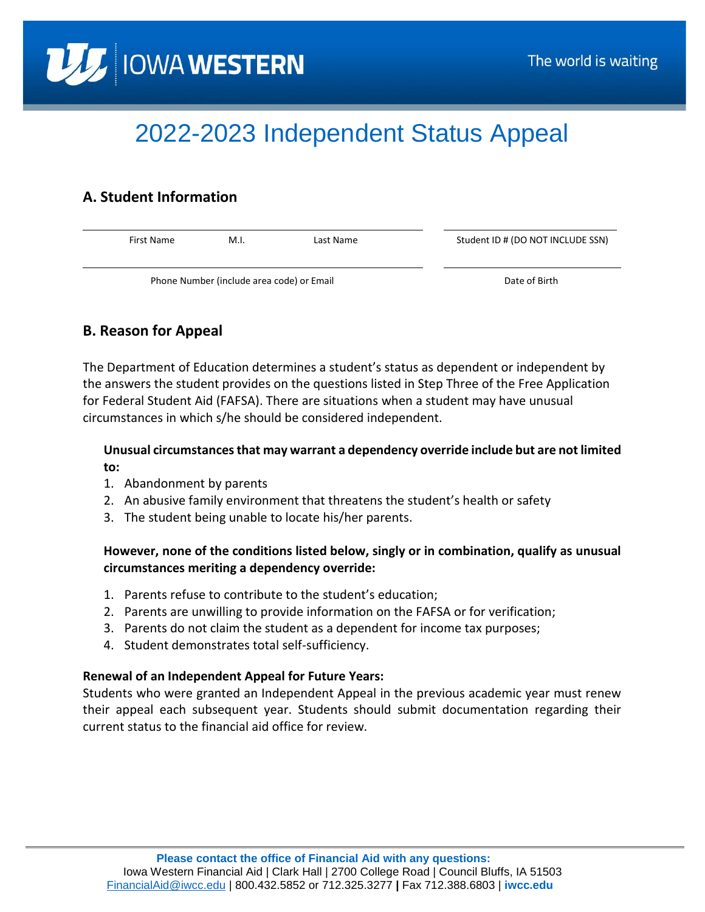

# 2022-2023 Independent Status Appeal

## **A. Student Information**

| First Name                                | M.I. | Last Name | Student ID # (DO NOT INCLUDE SSN) |
|-------------------------------------------|------|-----------|-----------------------------------|
| Phone Number (include area code) or Email |      |           | Date of Birth                     |

## **B. Reason for Appeal**

The Department of Education determines a student's status as dependent or independent by the answers the student provides on the questions listed in Step Three of the Free Application for Federal Student Aid (FAFSA). There are situations when a student may have unusual circumstances in which s/he should be considered independent.

### **Unusual circumstances that may warrant a dependency override include but are not limited to:**

- 1. Abandonment by parents
- 2. An abusive family environment that threatens the student's health or safety
- 3. The student being unable to locate his/her parents.

### **However, none of the conditions listed below, singly or in combination, qualify as unusual circumstances meriting a dependency override:**

- 1. Parents refuse to contribute to the student's education;
- 2. Parents are unwilling to provide information on the FAFSA or for verification;
- 3. Parents do not claim the student as a dependent for income tax purposes;
- 4. Student demonstrates total self-sufficiency.

#### **Renewal of an Independent Appeal for Future Years:**

Students who were granted an Independent Appeal in the previous academic year must renew their appeal each subsequent year. Students should submit documentation regarding their current status to the financial aid office for review.